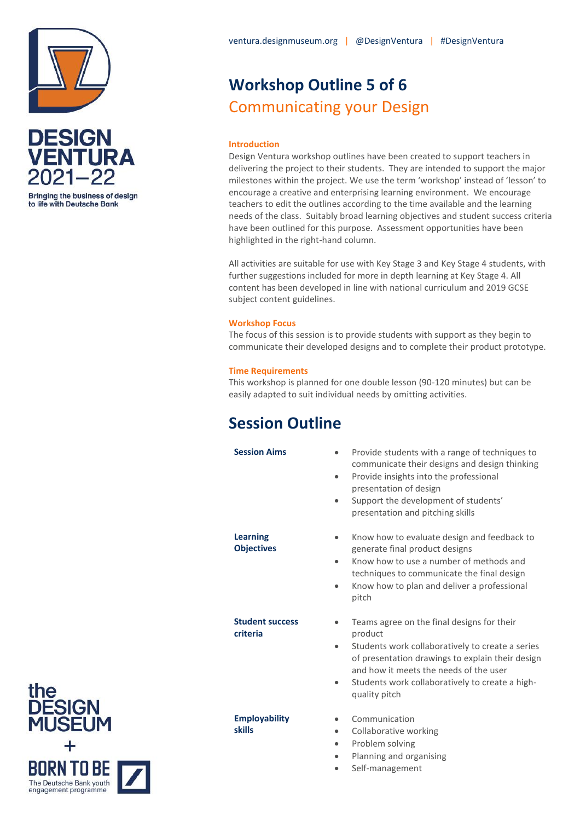



**Bringing the business of design** to life with Deutsche Bank

# **Workshop Outline 5 of 6** Communicating your Design

### **Introduction**

Design Ventura workshop outlines have been created to support teachers in delivering the project to their students. They are intended to support the major milestones within the project. We use the term 'workshop' instead of 'lesson' to encourage a creative and enterprising learning environment. We encourage teachers to edit the outlines according to the time available and the learning needs of the class. Suitably broad learning objectives and student success criteria have been outlined for this purpose. Assessment opportunities have been highlighted in the right-hand column.

All activities are suitable for use with Key Stage 3 and Key Stage 4 students, with further suggestions included for more in depth learning at Key Stage 4. All content has been developed in line with national curriculum and 2019 GCSE subject content guidelines.

#### **Workshop Focus**

The focus of this session is to provide students with support as they begin to communicate their developed designs and to complete their product prototype.

#### **Time Requirements**

This workshop is planned for one double lesson (90-120 minutes) but can be easily adapted to suit individual needs by omitting activities.

### **Session Outline**

**Learning Objectives**

**Student success** 

**Employability** 

**skills**

**criteria**

- **Session Aims** Provide students with a range of techniques to communicate their designs and design thinking
	- Provide insights into the professional presentation of design
	- Support the development of students' presentation and pitching skills
	- Know how to evaluate design and feedback to generate final product designs
	- Know how to use a number of methods and techniques to communicate the final design
	- Know how to plan and deliver a professional pitch
	- Teams agree on the final designs for their product
	- Students work collaboratively to create a series of presentation drawings to explain their design and how it meets the needs of the user
	- Students work collaboratively to create a highquality pitch
	- Communication
	- Collaborative working
	- Problem solving
	- Planning and organising
	- Self-management

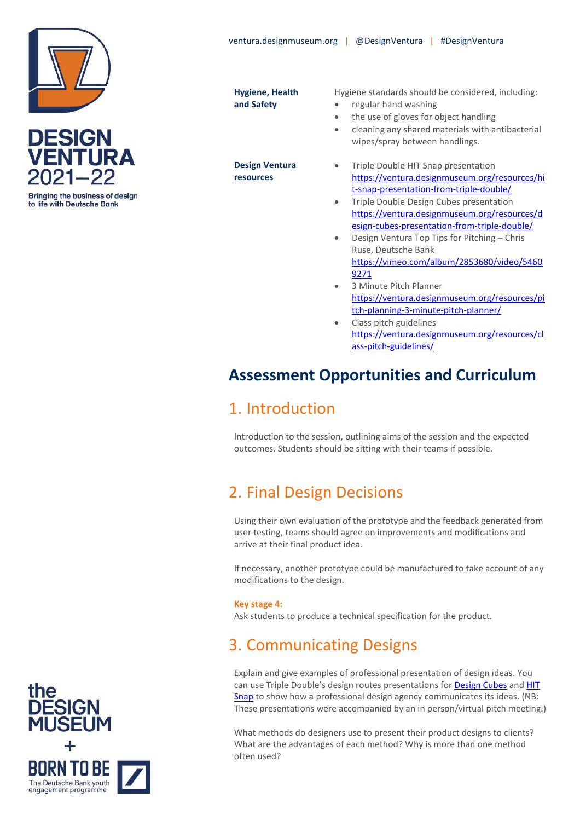



**Bringing the business of design** to life with Deutsche Bank

**Hygiene, Health and Safety**

**Design Ventura resources**

Hygiene standards should be considered, including:

- regular hand washing
- the use of gloves for object handling
- cleaning any shared materials with antibacterial wipes/spray between handlings.
- Triple Double HIT Snap presentation [https://ventura.designmuseum.org/resources/hi](https://ventura.designmuseum.org/resources/hit-snap-presentation-from-triple-double/) [t-snap-presentation-from-triple-double/](https://ventura.designmuseum.org/resources/hit-snap-presentation-from-triple-double/)
- Triple Double Design Cubes presentation [https://ventura.designmuseum.org/resources/d](https://ventura.designmuseum.org/resources/design-cubes-presentation-from-triple-double/) [esign-cubes-presentation-from-triple-double/](https://ventura.designmuseum.org/resources/design-cubes-presentation-from-triple-double/)
- Design Ventura Top Tips for Pitching Chris Ruse, Deutsche Bank [https://vimeo.com/album/2853680/video/5460](https://vimeo.com/album/2853680/video/54609271) [9271](https://vimeo.com/album/2853680/video/54609271)
- 3 Minute Pitch Planner [https://ventura.designmuseum.org/resources/pi](https://ventura.designmuseum.org/resources/pitch-planning-3-minute-pitch-planner/) [tch-planning-3-minute-pitch-planner/](https://ventura.designmuseum.org/resources/pitch-planning-3-minute-pitch-planner/)
- Class pitch guidelines [https://ventura.designmuseum.org/resources/cl](https://ventura.designmuseum.org/resources/class-pitch-guidelines/) [ass-pitch-guidelines/](https://ventura.designmuseum.org/resources/class-pitch-guidelines/)

## **Assessment Opportunities and Curriculum**

### 1. Introduction

Introduction to the session, outlining aims of the session and the expected outcomes. Students should be sitting with their teams if possible.

# 2. Final Design Decisions

Using their own evaluation of the prototype and the feedback generated from user testing, teams should agree on improvements and modifications and arrive at their final product idea.

If necessary, another prototype could be manufactured to take account of any modifications to the design.

### **Key stage 4:**

Ask students to produce a technical specification for the product.

# 3. Communicating Designs

Explain and give examples of professional presentation of design ideas. You can use Triple Double's design routes presentations for [Design Cubes](https://ventura.designmuseum.org/resources/design-cubes-presentation-from-triple-double/) and HIT [Snap](https://ventura.designmuseum.org/resources/hit-snap-presentation-from-triple-double/) to show how a professional design agency communicates its ideas. (NB: These presentations were accompanied by an in person/virtual pitch meeting.)

What methods do designers use to present their product designs to clients? What are the advantages of each method? Why is more than one method often used?

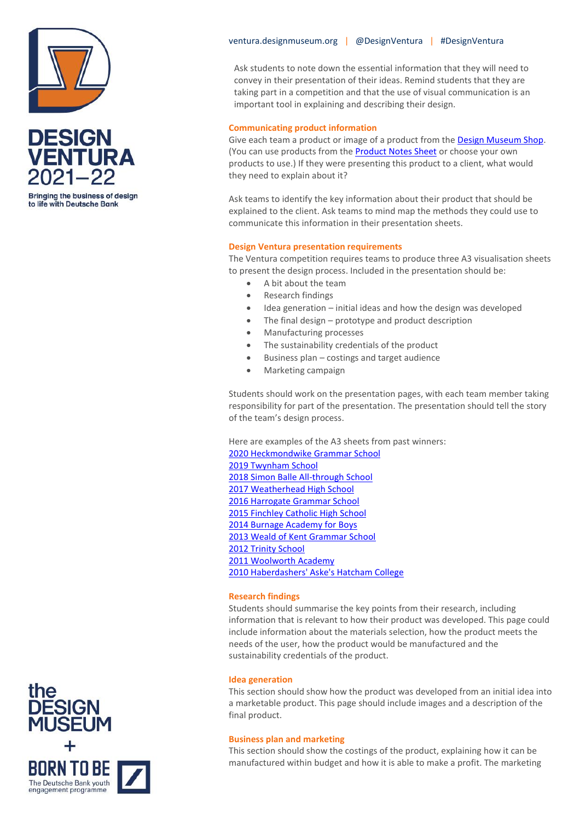



**Bringing the business of design** to life with Deutsche Bank

#### ventura.designmuseum.org | @DesignVentura | #DesignVentura

Ask students to note down the essential information that they will need to convey in their presentation of their ideas. Remind students that they are taking part in a competition and that the use of visual communication is an important tool in explaining and describing their design.

#### **Communicating product information**

Give each team a product or image of a product from th[e Design Museum Shop.](https://designmuseumshop.com/) (You can use products from the **Product Notes Sheet** or choose your own products to use.) If they were presenting this product to a client, what would they need to explain about it?

Ask teams to identify the key information about their product that should be explained to the client. Ask teams to mind map the methods they could use to communicate this information in their presentation sheets.

#### **Design Ventura presentation requirements**

The Ventura competition requires teams to produce three A3 visualisation sheets to present the design process. Included in the presentation should be:

- A bit about the team
- Research findings
- Idea generation initial ideas and how the design was developed
- The final design prototype and product description
- Manufacturing processes
- The sustainability credentials of the product
- Business plan costings and target audience
- Marketing campaign

Students should work on the presentation pages, with each team member taking responsibility for part of the presentation. The presentation should tell the story of the team's design process.

Here are examples of the A3 sheets from past winners: [2020 Heckmondwike Grammar School](https://ventura.designmuseum.org/?post_type=resource&p=6938&preview=true) [2019 Twynham School](https://ventura.designmuseum.org/resources/a3-sheets-twynham-school/) [2018 Simon Balle All-through School](https://ventura.designmuseum.org/resources/a3-sheets-simon-balle-all-through-school-2018/) [2017 Weatherhead High School](https://ventura.designmuseum.org/resources/a3-sheets-weatherhead-high-school-2017/) 2016 [Harrogate Grammar School](https://ventura.designmuseum.org/resources/a3-sheets-harrogate-grammar-school-2016/) [2015 Finchley Catholic](https://ventura.designmuseum.org/resources/a3-sheets-finchley-catholic-high-school-2015/) High School [2014 Burnage Academy for Boys](https://ventura.designmuseum.org/resources/a3-sheets-burnage-academy-boys-2014/) [2013 Weald of Kent Grammar School](https://ventura.designmuseum.org/resources/a3-sheets-weald-kent-2013/) 2012 [Trinity School](https://ventura.designmuseum.org/resources/a3-sheets-trinity-school-2012/) 2011 [Woolworth Academy](https://ventura.designmuseum.org/resources/a3-sheets-walworth-academy-2011/) [2010 Haberdashers' Aske's Hatcham College](https://ventura.designmuseum.org/resources/a3-sheets-haberdashers-aske-hatcham-college-2010/)

#### **Research findings**

Students should summarise the key points from their research, including information that is relevant to how their product was developed. This page could include information about the materials selection, how the product meets the needs of the user, how the product would be manufactured and the sustainability credentials of the product.

#### **Idea generation**

This section should show how the product was developed from an initial idea into a marketable product. This page should include images and a description of the final product.

#### **Business plan and marketing**

This section should show the costings of the product, explaining how it can be manufactured within budget and how it is able to make a profit. The marketing

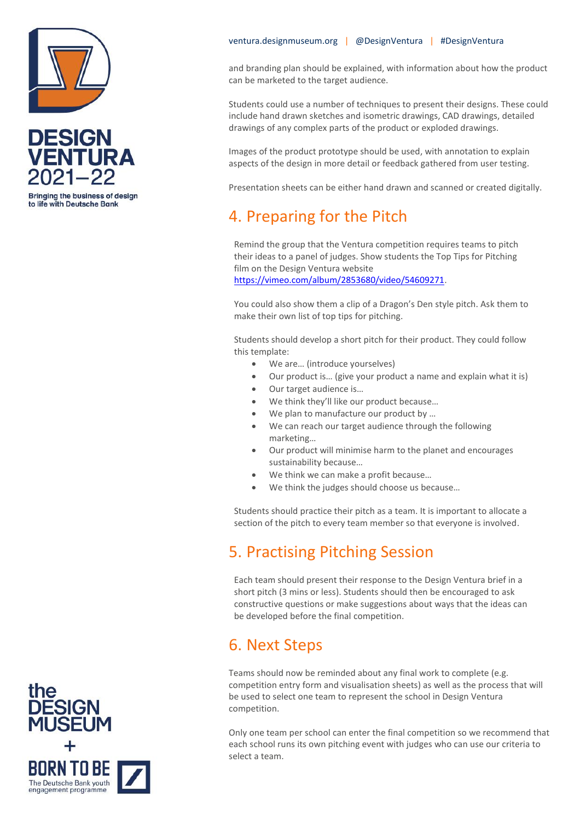



**Bringing the business of design** to life with Deutsche Bank

and branding plan should be explained, with information about how the product can be marketed to the target audience.

Students could use a number of techniques to present their designs. These could include hand drawn sketches and isometric drawings, CAD drawings, detailed drawings of any complex parts of the product or exploded drawings.

Images of the product prototype should be used, with annotation to explain aspects of the design in more detail or feedback gathered from user testing.

Presentation sheets can be either hand drawn and scanned or created digitally.

### 4. Preparing for the Pitch

Remind the group that the Ventura competition requires teams to pitch their ideas to a panel of judges. Show students the Top Tips for Pitching film on the Design Ventura website

[https://vimeo.com/album/2853680/video/54609271.](https://vimeo.com/album/2853680/video/54609271)

You could also show them a clip of a Dragon's Den style pitch. Ask them to make their own list of top tips for pitching.

Students should develop a short pitch for their product. They could follow this template:

- We are... (introduce yourselves)
- Our product is… (give your product a name and explain what it is)
- Our target audience is...
- We think they'll like our product because...
- We plan to manufacture our product by ...
- We can reach our target audience through the following marketing…
- Our product will minimise harm to the planet and encourages sustainability because…
- We think we can make a profit because...
- We think the judges should choose us because...

Students should practice their pitch as a team. It is important to allocate a section of the pitch to every team member so that everyone is involved.

## 5. Practising Pitching Session

Each team should present their response to the Design Ventura brief in a short pitch (3 mins or less). Students should then be encouraged to ask constructive questions or make suggestions about ways that the ideas can be developed before the final competition.

### 6. Next Steps

Teams should now be reminded about any final work to complete (e.g. competition entry form and visualisation sheets) as well as the process that will be used to select one team to represent the school in Design Ventura competition.

Only one team per school can enter the final competition so we recommend that each school runs its own pitching event with judges who can use our criteria to select a team.